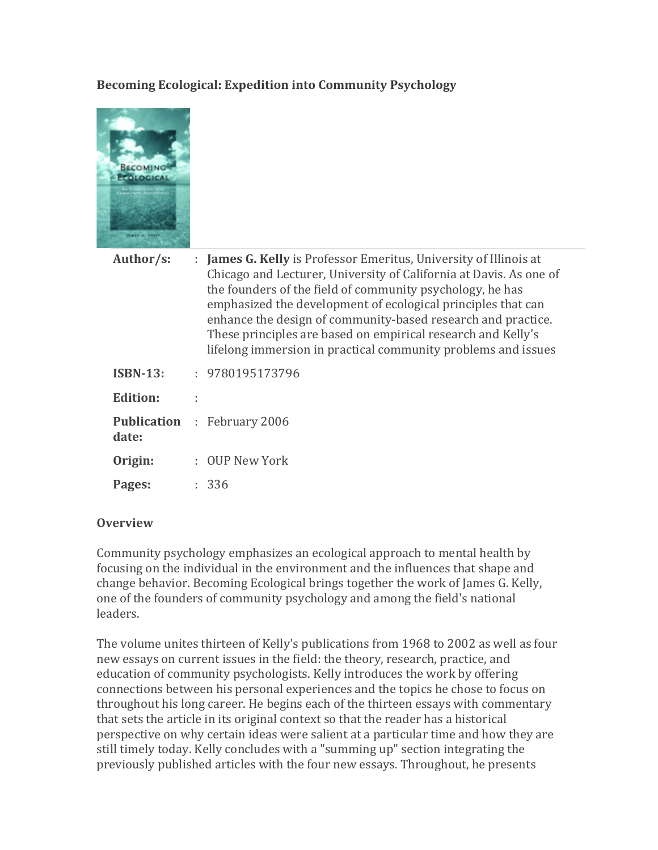### **Becoming Ecological: Expedition into Community Psychology**



| Author/s: | : James G. Kelly is Professor Emeritus, University of Illinois at  |
|-----------|--------------------------------------------------------------------|
|           | Chicago and Lecturer, University of California at Davis. As one of |
|           | the founders of the field of community psychology, he has          |
|           | emphasized the development of ecological principles that can       |
|           | enhance the design of community-based research and practice.       |
|           | These principles are based on empirical research and Kelly's       |
|           | lifelong immersion in practical community problems and issues      |
|           |                                                                    |

| <b>ISBN-13:</b> | 9780195173796                      |
|-----------------|------------------------------------|
| <b>Edition:</b> |                                    |
| date:           | <b>Publication</b> : February 2006 |
| Origin:         | : OUP New York                     |
| Pages:          | : 336                              |

#### **Overview**

Community psychology emphasizes an ecological approach to mental health by focusing on the individual in the environment and the influences that shape and change behavior. Becoming Ecological brings together the work of James G. Kelly, one of the founders of community psychology and among the field's national leaders.

The volume unites thirteen of Kelly's publications from 1968 to 2002 as well as four new essays on current issues in the field: the theory, research, practice, and education of community psychologists. Kelly introduces the work by offering connections between his personal experiences and the topics he chose to focus on throughout his long career. He begins each of the thirteen essays with commentary that sets the article in its original context so that the reader has a historical perspective on why certain ideas were salient at a particular time and how they are still timely today. Kelly concludes with a "summing up" section integrating the previously published articles with the four new essays. Throughout, he presents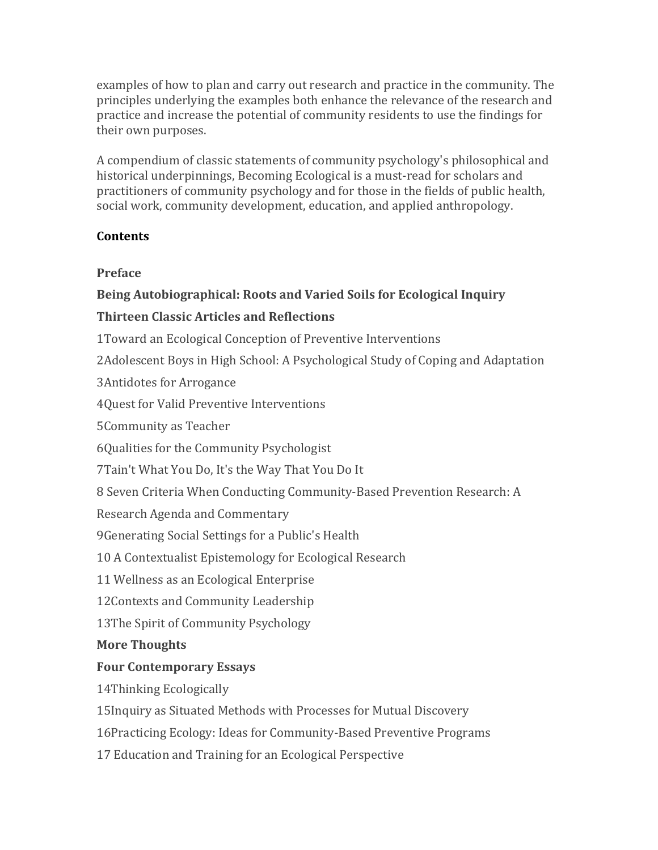examples of how to plan and carry out research and practice in the community. The principles underlying the examples both enhance the relevance of the research and practice and increase the potential of community residents to use the findings for their own purposes.

A compendium of classic statements of community psychology's philosophical and historical underpinnings, Becoming Ecological is a must-read for scholars and practitioners of community psychology and for those in the fields of public health, social work, community development, education, and applied anthropology.

### **Contents**

### **Preface**

# **Being Autobiographical: Roots and Varied Soils for Ecological Inquiry**

# **Thirteen Classic Articles and Reflections**

1 Toward an Ecological Conception of Preventive Interventions

2Adolescent Boys in High School: A Psychological Study of Coping and Adaptation

3 Antidotes for Arrogance

4Quest for Valid Preventive Interventions

5 Community as Teacher

6Qualities for the Community Psychologist

7Tain't What You Do, It's the Way That You Do It

8 Seven Criteria When Conducting Community-Based Prevention Research: A

Research Agenda and Commentary

9 Generating Social Settings for a Public's Health

10 A Contextualist Epistemology for Ecological Research

11 Wellness as an Ecological Enterprise

12Contexts and Community Leadership

13The Spirit of Community Psychology

## **More Thoughts**

## **Four Contemporary Essays**

14Thinking Ecologically

15Inquiry as Situated Methods with Processes for Mutual Discovery

16Practicing Ecology: Ideas for Community-Based Preventive Programs

17 Education and Training for an Ecological Perspective